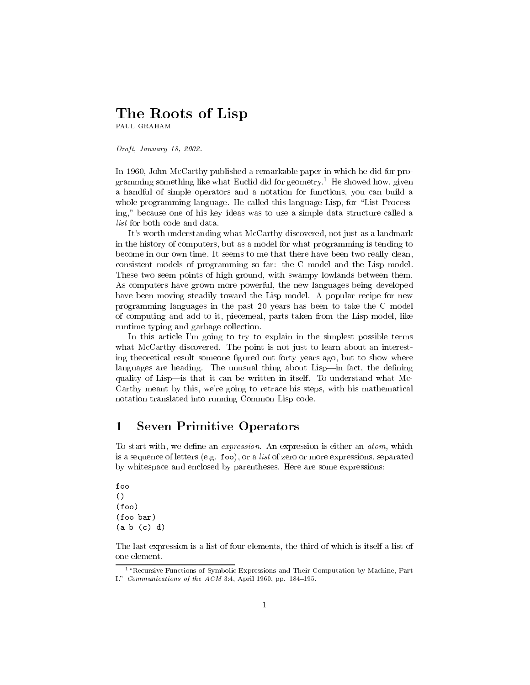# The Roots of Lisp

paul graham

### $D \cdot w_i v_i$  between  $q \cdot 1 \circ i$  ,  $\sim$   $\circ \circ \sim i$ .

In - John McCarthy published a remarkable paper in which he did for pro gramming something like what Euclid did for geometry.<sup>1</sup> He showed how, given a handful of simple operators and a notation for functions, you can build a whole programming language. He called this language Lisp, for "List Processing because one of his key ideas was to use a simple data structure called a

It's worth understanding what McCarthy discovered, not just as a landmark in the history of computers, but as a model for what programming is tending to become in our own time. It seems to me that there have been two really clean, consistent models of programming so far the C model and the Lisp model These two seem points of high ground, with swampy lowlands between them. As computers have grown more powerful, the new languages being developed have been moving steadily toward the Lisp model. A popular recipe for new programming languages in the past 20 years has been to take the C model of computing and add to it, piecemeal, parts taken from the Lisp model, like runtime typing and garbage collection

In this article I'm going to try to explain in the simplest possible terms what McCarthy discovered. The point is not just to learn about an interesting theoretical result someone figured out forty years ago, but to show where languages are heading. The unusual thing about Lisp—in fact, the defining quality of Lisp—is that it can be written in itself. To understand what Mc-Carthy meant by this, we're going to retrace his steps, with his mathematical notation translated into running Common Lisp code

#### Seven Primitive Operators 1

To start with we denote the supersymptom and the second to critical without with  $\frac{1}{2}$ is a sequence of letters (e.g.  $f \circ \circ$ ), or a *list* of zero or more expressions, separated by whitespace and enclosed by parentheses. Here are some expressions:

```
foo
\left(
(foo)-
     foo
 -
foo bar
 -c decree decree de la concentración de la concentración de la concentración de la concentración de la concentración de la concentración de la concentración de la concentración de la concentración de la concentración de la
```
The last expression is a list of four elements, the third of which is itself a list of one element

 $\lceil$  "Recursive Functions of Symbolic Expressions and Their Computation by Machine, Part  $\lceil$ are a communications of the ACM - and ACM - appear we are pproperty when  $\sim$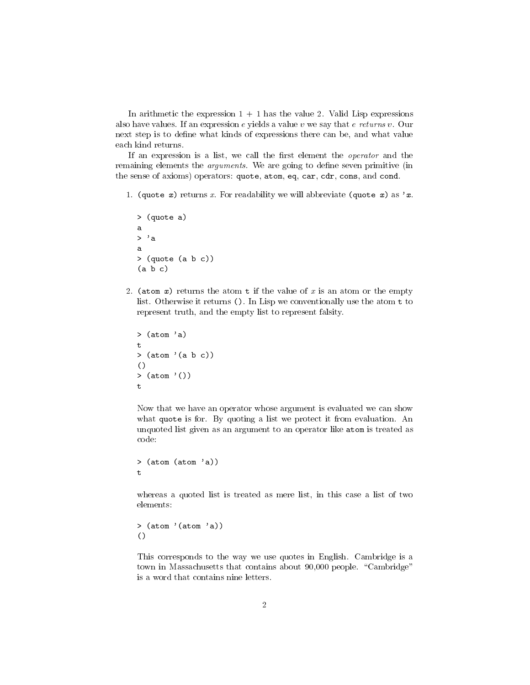In arithmetic the expression - - has the value Valid Lisp expressions also have values. If an expression  $e$  yields a value  $v$  we say that  $e$  returns  $v$ . Our next step is to define what kinds of expressions there can be, and what value each kind returns

If an expression is a list, we call the first element the *operator* and the remaining elements the *arguments*. We are going to define seven primitive (in the sense of axioms) operators: quote, atom, eq, car, cdr, cons, and cond.

- -quote x returns x For readability we will abbreviate -quote x as x

```
q = -qa
 -
quote -
a b c
-
a b c
```
 $-$  (week w) returns the atom to if the atom to a will decline of the empty list Otherwise it returns - In Lisp we conventionally use the atom <sup>t</sup> to represent truth, and the empty list to represent falsity.

```
atom atom and atom and a series of the series of the series of the series of the series of the series of the s
 a b com a b com a b com a b com a b com a b com a b com a b com a b com a b com a b com a b com a b com a b co
 -

 atom atom and atom and atom and atom and atom and atom and atom and atom and atom and atom atom atom atom atom
\mathbf t
```
the contract of the contract of the contract of the contract of the contract of the contract of the contract of the contract of the contract of the contract of the contract of the contract of the contract of the contract o

Now that we have an operator whose argument is evaluated we can show what quote is for. By quoting a list we protect it from evaluation. An unquoted list given as an argument to an operator like atom is treated as code

```
atom atom - atom atom - atom - atom - atom - atom - atom - atom - atom - atom - atom - atom - atom - atom - atom -
```
whereas a quoted list is treated as mere list, in this case a list of two elements

 -atom -atom a  $\left( \right)$ 

This corresponds to the way we use quotes in English. Cambridge is a town in Massachusetts that contains about 90,000 people. "Cambridge" is a word that contains nine letters.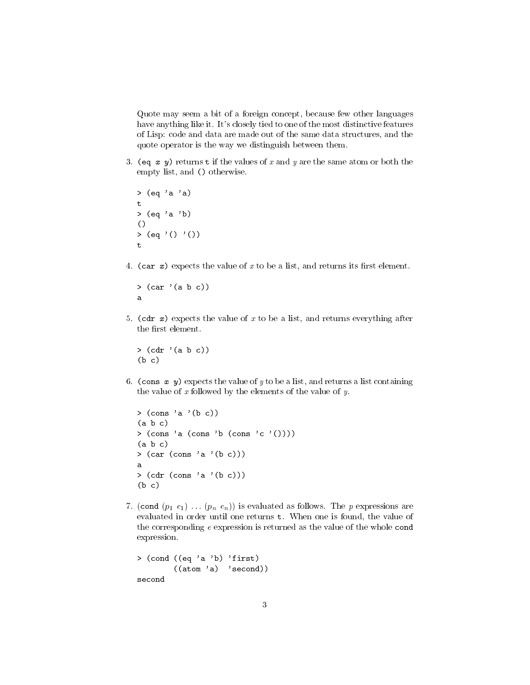Quote may seem a bit of a foreign concept, because few other languages have anything like it. It's closely tied to one of the most distinctive features of Lisp code and data are made out of the same data structures and the quote operator is the way we distinguish between them

 -eq <sup>x</sup> y returns <sup>t</sup> if the values of <sup>x</sup> and <sup>y</sup> are the same atom or both the empty is a second company of the second and second and second and second and second and second and second and second and second and second and second and second and second and second and second and second and second and se

```
eq a a and a contract of the second contract of the second contract of the second contract of the second contract of the second contract of the second contract of the second contract of the second contract of the second co
\ddaggereq a both of the book of the state of the state of the state of the state of the state of the state of the state of the state of the state of the state of the state of the state of the state of the state of the state of th
  -

  experimental contracts and contracts are a contracted and contract of the contract of the contract of the contract of the contract of the contract of the contract of the contract of the contract of the contract of the cont
\mathbf t
```
-car x expects the value of <sup>x</sup> to be a list and returns its rst element

```
-car - car - car - car - car - car - car - car - car - car - car - car - car - car - car - car - car - car - c
```
changer and complete the value of x to be a list and returns everything and return the first element.

```
 -
cdr -
a b c
\mathbf{r} - \mathbf{r}
```
 -cons <sup>x</sup> y expects the value of <sup>y</sup> to be a list and returns a list containing the value of  $x$  followed by the elements of the value of  $y$ .

```
 -
cons a -
b c
-
a b c
 -
cons a -
cons b -
cons c -

-
a b c
 -
car -
cons a -
b c
 -
cdr -
cons a -
b c
\bullet contracts to the contract of the contracts of the contracts of the contracts of the contracts of the contracts of the contracts of the contracts of the contracts of the contracts of the contracts of the contracts of
```
 $\alpha$  , point  $\mu$  e  $\mu$  is equal to exclude a follows the political conditions are evaluated in order until one returns t. When one is found, the value of the corresponding  $e$  expression is returned as the value of the whole cond expression

```
-condition - condition - condition - condition - condition - condition - condition - condition - condition - condition - condition - condition - condition - condition - condition - condition - condition - condition - condi
                            \blacksquaresecond
```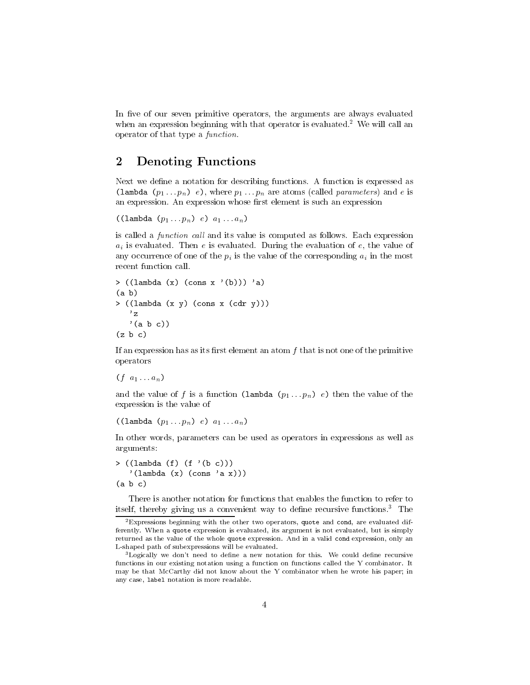In five of our seven primitive operators, the arguments are always evaluated when an expression beginning with that operator is evaluated- We will call an operator of that type a function

### Denoting Functions

Next we define a notation for describing functions. A function is expressed as  $\sum_{i=1}^{\infty}$   $\sum_{i=1}^{\infty}$   $\sum_{i=1}^{\infty}$   $\sum_{i=1}^{\infty}$   $\sum_{i=1}^{\infty}$   $\sum_{i=1}^{\infty}$   $\sum_{i=1}^{\infty}$   $\sum_{i=1}^{\infty}$   $\sum_{i=1}^{\infty}$   $\sum_{i=1}^{\infty}$   $\sum_{i=1}^{\infty}$   $\sum_{i=1}^{\infty}$   $\sum_{i=1}^{\infty}$   $\sum_{i=1}^{\infty}$   $\sum_{i=1}^{\in$ an expression. An expression whose first element is such an expression

 $\mathbf{v} = \mathbf{v} - \mathbf{v} - \mathbf{v} - \mathbf{v}$ 

is called a *function call* and its value is computed as follows. Each expression  $a_i$  is evaluated. Then e is evaluated. During the evaluation of e, the value of any occurrence of one of the  $p_i$  is the value of the corresponding  $a_i$  in the most recent function call

```
 -
-
lambda -
x -
cons x -
b a
-
a b
 -
-
lambda -
x y -
cons x -
cdr y
  -
a b c
```
If an expression has as its first element an atom  $f$  that is not one of the primitive operators

-<sup>f</sup> a ---an

-<sup>z</sup> <sup>b</sup> c

-<sup>a</sup> <sup>b</sup> c

and the value of f is a function -  $\chi$  - and the value of the value of the value of the value of the value of expression is the value of

```
\mathbf{v} = \mathbf{v} - \mathbf{v} - \mathbf{v} - \mathbf{v}
```
In other words, parameters can be used as operators in expressions as well as arguments

 --lambda -f -<sup>f</sup> -<sup>b</sup> c -lambda -x -cons a x

There is another notation for functions that enables the function to refer to itself, thereby giving us a convenient way to define recursive functions.<sup>3</sup> The

<sup>-</sup>Expressions beginning with the other two operators, quote and cond, are evaluated differently When a quote expression is evaluated- its argument is not evaluated- but is simply returned as the value of the whole quote expression And in a valid cond expression- only an L-shaped path of subexpressions will be evaluated.

 $3$ Logically we don't need to define a new notation for this. We could define recursive functions in our existing notation using a function on functions called the Y combinator It may be that  $McCarthy$  did not know about the Y combinator when he wrote his paper; in any case-i more more readable and read the more reading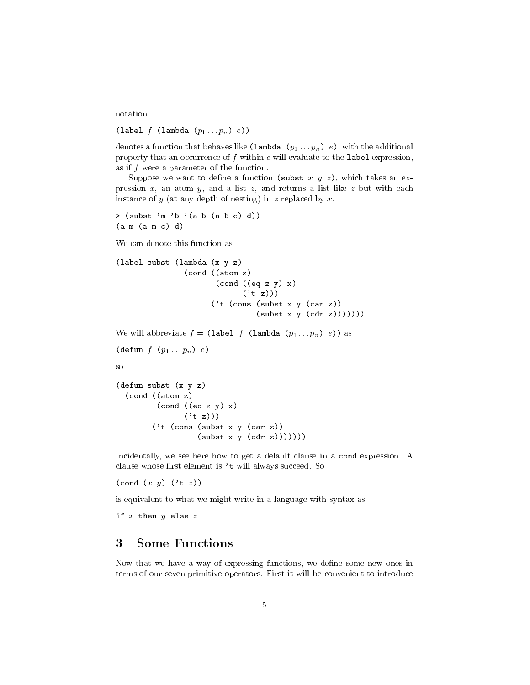notation

 $\mathcal{L}$  -  $\mathcal{L}$  -  $\mathcal{L}$  -  $\mathcal{L}$  -  $\mathcal{L}$  -  $\mathcal{L}$  -  $\mathcal{L}$  -  $\mathcal{L}$  -  $\mathcal{L}$  -  $\mathcal{L}$  -  $\mathcal{L}$  -  $\mathcal{L}$  -  $\mathcal{L}$  -  $\mathcal{L}$  -  $\mathcal{L}$  -  $\mathcal{L}$  -  $\mathcal{L}$  -  $\mathcal{L}$  -  $\mathcal{L}$  -  $\mathcal{L}$  -

denotes a function that behavior that  $\sqrt{-1}$  and  $\sqrt{r}$  is the  $\sqrt{r}$  is the additional the additional the additional the additional the additional the additional the additional the additional the additional the additio property that an occurrence of  $f$  within  $e$  will evaluate to the label expression, as if  $f$  were a parameter of the function.

Suppose we want to dene a function -subst <sup>x</sup> <sup>y</sup> z which takes an ex pression x, an atom y, and a list z, and returns a list like z but with each instance of y (at any depth of nesting) in z replaced by x.

```
substitute and a basic contract of the substitute of the substitute of the substitute of the substitute of the
-
 - - - - -
           a m c d
```
We can denote this function as

```
-
label subst -
lambda -
x y z
                 -condition-condition-condition-condition-condition-condition-condition-condition-
                         -
cond -
-
eq z y x
                               -
t z
                       -
t -
cons -
subst x y -
car z
                                   -
subst x y -
cdr z
```
will abbreviate from the second formation and the second contract of the second contract of the second contract of the second contract of the second contract of the second contract of the second contract of the second cont

 $\sigma$  -  $\sigma$  -  $\sigma$  -  $\sigma$  -  $\sigma$  -  $\sigma$  -  $\sigma$ 

```
-
defun subst -
x y z
 -
cond -
-
atom z
      -
cond -
-
eq z y x
           -
t z
     -
t -
cons -
subst x y -
car z
             -
subst x y -
cdr z
```
Incidentally, we see here how to get a default clause in a cond expression. A clause whose first element is 't will always succeed. So

 $\lambda$  ,  $\lambda$  -  $\lambda$  -  $\lambda$  -  $\lambda$  -  $\lambda$  -  $\lambda$  -  $\lambda$  -  $\lambda$  -  $\lambda$  -  $\lambda$  -  $\lambda$  -  $\lambda$  -  $\lambda$  -  $\lambda$  -  $\lambda$  -  $\lambda$  -  $\lambda$  -  $\lambda$  -  $\lambda$  -  $\lambda$  -  $\lambda$  -  $\lambda$  -  $\lambda$  -  $\lambda$  -  $\lambda$  -  $\lambda$  -  $\lambda$  -  $\lambda$  -  $\lambda$  -  $\lambda$  -  $\lambda$ 

is equivalent to what we might write in a language with syntax as

if  $x$  then  $y$  else  $z$ 

#### **Some Functions** 3

Now that we have a way of expressing functions, we define some new ones in terms of our seven primitive operators First it will be convenient to introduce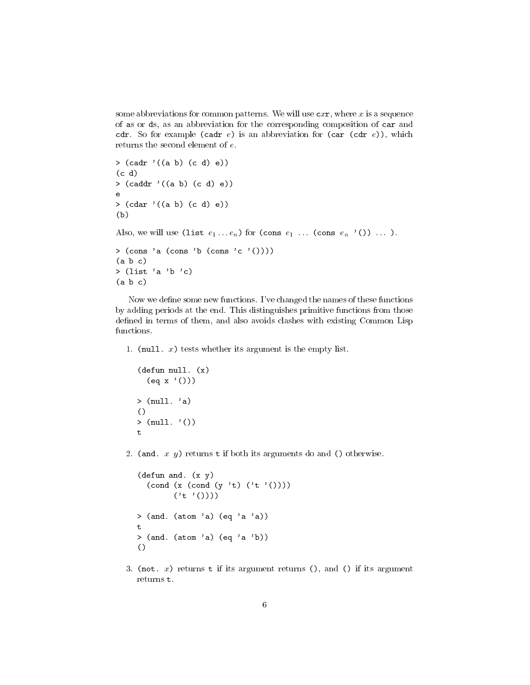some abbreviations for common patterns. We will use  $c x r$ , where x is a sequence of as or ds, as an abbreviation for the corresponding composition of car and case is an abbreviation (there is a more distribution for the control of  $\{1,2,3,4,5,5,6,7,8\}$ returns the second element of  $e$ .

```
 -
cadr -
-
a b -
c d e
(c, d)-
  \sim \sim \sim \sim -
caddr -
-
a b -
c d e
\mathbf{A}contract and contract and contract of the contract of the contract of the contract of the contract of the contract of the contract of the contract of the contract of the contract of the contract of the contract of the cont
-
b
Also we will use -
list e -
-
-
en for -
cons e -
-
-
 -
cons en -
 -
-
-
   -
cons a -
cons b -
cons c -

-
a b c
 -
list a b c
-
a b c
```
Now we define some new functions. I've changed the names of these functions by adding periods at the end. This distinguishes primitive functions from those defined in terms of them, and also avoids clashes with existing Common Lisp functions

- -null x tests whether its argument is the empty list

```
\lambda - \lambda - \lambda - \lambda - \lambda - \lambda - \lambda - \lambda - \lambda - \lambda - \lambda - \lambda - \lambda - \lambda - \lambda - \lambda - \lambda-
eq x -

null and any service of the service of the service of the service of the series of the series of the series of
-

null - null - null - null - null - null - null - null - null - null - null - null - null - null - null - null
\ddagger
```
-and <sup>x</sup> y returns <sup>t</sup> if both its arguments do and - otherwise

```
\mathbf{v} = \mathbf{v}-
cond -
x -
cond -
y t -
t -

               \sim - \sim \sim \sim \simand a structure of the contract of the structure of the structure of the structure of the structure of the str
\mathbf t-atom a - atom a base and a base and a base and a base and a base and a base and a base and a base and a base
\circ
```
not x returns the international contract returns and and - if its argument returns - if it is a set of the international contract of the international contract of the international contract of the international contract of returns t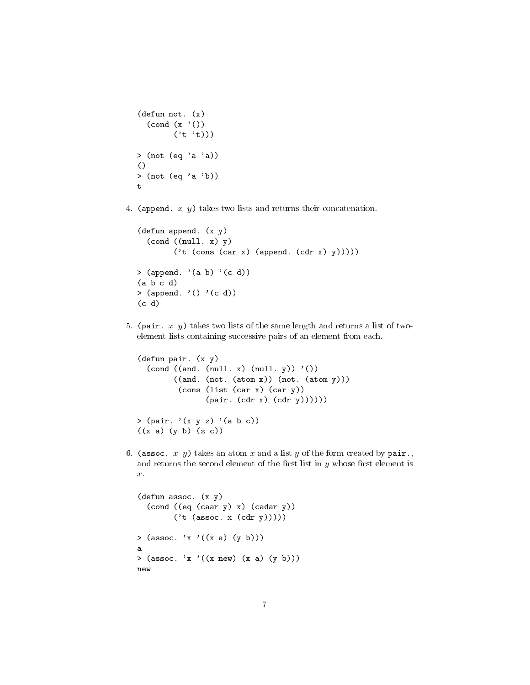```
-
defun not -
x
   -
cond -
x -

             \sim to the transformation of \simnot experiment the second contract of the second contract of the second contract of the second contract of the
\left(
 -
not -
eq a b
\mathbf t
```
-append <sup>x</sup> y takes two lists and returns their concatenation

```
-
defun append -
x y
  -
cond -
-
null x y
         -
t -
cons -
car x -
append -
cdr x y
-a b -c de -c de -c de -c de -c de -c de -c de -c de -c de -c de -c de -c de -c de -c de -c de -c de -c de -c 
-
a b c d
 -
append -
 -
c d
-
c d
```
 -pair <sup>x</sup> y takes two lists of the same length and returns a list of two element lists containing successive pairs of an element from each

```
-
defun pair -
x y
 -
cond -
-
and -
null x -
null y -

      -
-
and -
not -
atom x -
not -
atom y
      -
cons -
list -
car x -
car y
           -
pair -
cdr x -
cdr y
 -
pair -
x y z -
a b c
```
- associated and a list y takes and a list y of the form created by pairs and a list  $\mu$ and returns the second element of the first list in  $y$  whose first element is  $\boldsymbol{x}.$ 

```
\lambda associated as \lambda as \lambda as \lambda-
cond -
-
eq -
caar y x -
cadar y
       -
t -
assoc x -
cdr y
 -
assoc x -
-
x a -
y b
a
 -
assoc x -
-
x new -
x a -
y b
new
```
--<sup>x</sup> a -<sup>y</sup> b -<sup>z</sup> c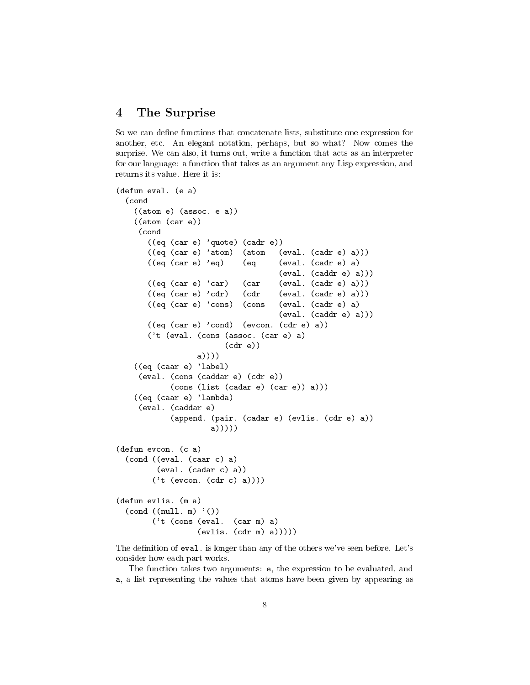## The Surprise

So we can define functions that concatenate lists, substitute one expression for another, etc. An elegant notation, perhaps, but so what? Now comes the surprise. We can also, it turns out, write a function that acts as an interpreter for our language: a function that takes as an argument any Lisp expression, and returns its value. Here it is:

```
define a contract of the contract of the contract of the contract of the contract of the contract of the contract of the contract of the contract of the contract of the contract of the contract of the contract of the contr
       -
cond
               atom e atom and a strong and a strong strong and a strong strong and a strong strong strong and a strong strong strong strong strong strong strong strong strong strong strong strong strong strong strong strong strong stron
               -car experience of the car experience of the car experience of the car experience of the car experience of the
                   -condition in the condition of the condition of the condition of the condition of the condition of the condition of the condition of the condition of the condition of the condition of the condition of the condition of the 
                           -
-
eq -
car e quote -
cadr e
                           -
-
eq -
car e atom -
                                                                                                                  eval - cadr - cadre - cadre - cadre - cadre - cadre - cadre - cadre - cadre - cadre - cadre - cadre - cadre -
                                                                                                              eq -
                           -
-
eq -
car e eq -
                                                                                                                                                 eval -
cadr e a
                                                                                                                                             e^{i\theta} . The above and e^{i\theta} and e^{i\theta} and e^{i\theta} and e^{i\theta} and e^{i\theta} and e^{i\theta} and e^{i\theta} and e^{i\theta} and e^{i\theta} and e^{i\theta} and e^{i\theta} and e^{i\theta} and e^{i\theta} and e^{i\theta} and e^{i\theta} and (car-
-
eq -
car e car -
                                                                                                                  eval - cadre - cadre - cadre - cadre - cadre - cadre - cadre - cadre - cadre - cadre - cadre - cadre - cadre -
                           -
-
eq -
car e cdr -
                                                                                                                  eval - cadre - cadre - cadre - cadre - cadre - cadre - cadre - cadre - cadre - cadre - cadre - cadre - cadre -
                           - e cons - cons - cons - cons - cons - cons - cons - cons - cons - cons - cons - cons - cons - cons - cons - c
                                                                                                                  eval - eval - eval - eval - eval - eval - eval - eval - eval - eval - eval - eval - eval - eval - eval - eval
                                                                                                                                             -
eval -
caddr e a
                           -event - condition - condition - condition - condition - condition - condition - condition - condition - condi<br>- condition - condition - condition - condition - condition - condition - condition - condition - condition -
                           t - t - construction to the associated of the construction of the construction of the construction of the construction of the construction of the construction of the construction of the construction of the construction of 
                                                                                              \sim - \sim - \sim - \sim - \sim - \sim - \sim - \sim - \sim - \sim - \sim - \sim - \sim - \sim - \sim - \sim - \sim - \sim - \sim - \sim - \sim - \sim - \sim - \sim - \sim - \sim - \sim - \sim - \sim - \sim - \sim - \sima))))-
-
eq -
caar e label
                   -
eval -
cons -
caddar e -
cdr e
                                               \sim constant - constant - constant - constant - constant - constant - constant - constant - constant - constant - constant - constant - constant - constant - constant - constant - constant - constant - constant - constan
               -equal extensive contract the case of the case of the case of the case of the case of the case of the case of the case of the case of the case of the case of the case of the case of the case of the case of the case of the 
                   eval - caddar eval - caddar eval - caddar eval - caddar eval - caddar eval - caddar eval - caddar eval - cadda
                                               -
append -
pair -
cadar e -
evlis -
cdr e a
                                                                                 a)))))
\alpha - c and \alpha and \alpha and \alpha and \alpha and \alpha and \alpha and \alpha and \alpha and \alpha and \alpha and \alpha and \alpha and \alpha and \alpha and \alpha and \alpha and \alpha and \alpha and \alpha and \alpha and \alpha and \alpha and \alpha and (cond (eval (caar c) a)-
           condition - 200 conditions - 200 conditions - 200 conditions - 200 conditions - 200 conditions - 200 condition
                                   -
                                       eval -
                                                                   carried and \alpha and \alpha\epsilon -cadar c and c and c and c and c and c and c and c and c and c and c and c and c and c and c and c and c and c and c and c and c and c and c and c and c and c and c and c and c and c and c and c and c and c and c and
                               \sim to a contract contract of the contract of the contract of the contract of the contract of the contract of the contract of the contract of the contract of the contract of the contract of the contract of the contract o
-
defun evlis -
m a
       -
cond -
-
null m -

                               -
t -
cons -
eval -
car m a
                                                                      e^{i\theta} . e^{i\theta} and e^{i\theta} , e^{i\theta} , e^{i\theta} , e^{i\theta} , e^{i\theta} , e^{i\theta} , e^{i\theta} , e^{i\theta} , e^{i\theta} , e^{i\theta} , e^{i\theta} , e^{i\theta} , e^{i\theta} , e^{i\theta} , e^{i\theta} , e^{i\theta} , e^{i\theta} , e^{i\theta} ,
```
The definition of eval. is longer than any of the others we've seen before. Let's consider how each part works

The function takes two arguments: e, the expression to be evaluated, and a, a list representing the values that atoms have been given by appearing as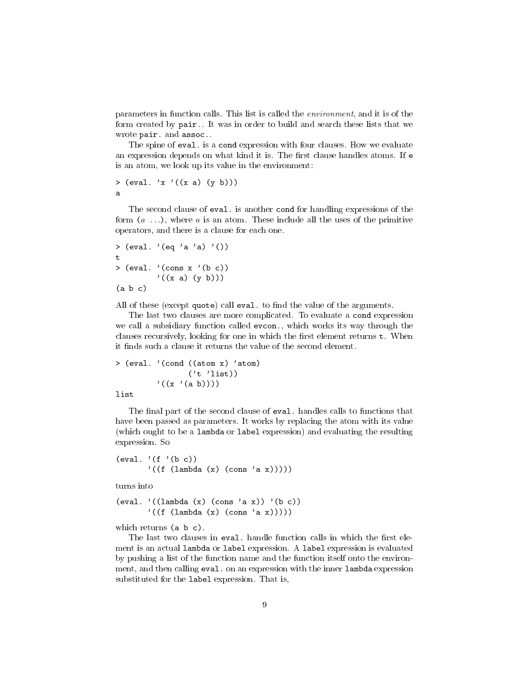parameters in function calls. This list is called the *environment*, and it is of the form created by pair. It was in order to build and search these lists that we wrote pair. and assoc..

The spine of eval. is a cond expression with four clauses. How we evaluate an expression depends on what kind it is. The first clause handles atoms. If e is an atom, we look up its value in the environment:

```
evaluation of the contract of the contract of the contract of the contract of the contract of the contract of the contract of the contract of the contract of the contract of the contract of the contract of the contract of 
\mathbf{a}
```
The second clause of eval. is another cond for handling expressions of the form -<sup>a</sup> --- where <sup>a</sup> is an atom These include all the uses of the primitive operators, and there is a clause for each one.

```
example a series and contact the contact of the contact of the contact of the contact of the contact of the contact of the contact of the contact of the contact of the contact of the contact of the contact of the contact o
\pmevaluation is the constant of the constant of the constant of the constant of the constant of the constant of the constant of the constant of the constant of the constant of the constant of the constant of the constant of 
                                                -
-
x a -
y b
```
-<sup>a</sup> <sup>b</sup> c

All of these (except quote) call eval. to find the value of the arguments.

The last two clauses are more complicated. To evaluate a cond expression we call a subsidiary function called evcon., which works its way through the clauses recursively, looking for one in which the first element returns t. When it finds such a clause it returns the value of the second element.

```
\geq (eval. '(cond ((atom x) 'atom)
------
     eval -
                 cond - conducts
                           -
                            atom x atom x atom x atom x atom x atom x atom x atom x atom x atom x atom x atom x atom x atom x atom x atom
                         -
t list
              -
-
x -
a b
```
list

The final part of the second clause of eval. handles calls to functions that have been passed as parameters. It works by replacing the atom with its value (which ought to be a lambda or label expression) and evaluating the resulting expression. So

 $\mathbf{r}$  -  $\mathbf{r}$  -  $\mathbf{r}$  -  $\mathbf{r}$  -  $\mathbf{r}$  -  $\mathbf{r}$  -  $\mathbf{r}$  -  $\mathbf{r}$  -  $\mathbf{r}$  -  $\mathbf{r}$  -  $\mathbf{r}$  -  $\mathbf{r}$  -  $\mathbf{r}$  -  $\mathbf{r}$  -  $\mathbf{r}$  -  $\mathbf{r}$  -  $\mathbf{r}$  -  $\mathbf{r}$  -  $\mathbf{r}$  -  $\mathbf{r}$  - --<sup>f</sup> -lambda -x -cons a x

turns into

```
-
eval -
-
lambda -
x -
cons a x -
b c
     -
-
f -
lambda -
x -
cons a x
```
which returns  $(a, b, c)$ . where  $\mathcal{L}$  returns  $\mathcal{L}$  returns  $\mathcal{L}$ 

The last two clauses in eval. handle function calls in which the first element is an actual lambda or label expression A label expression is evaluated by pushing a list of the function name and the function itself onto the environ ment, and then calling eval. on an expression with the inner lambda expression substituted for the label expression. That is,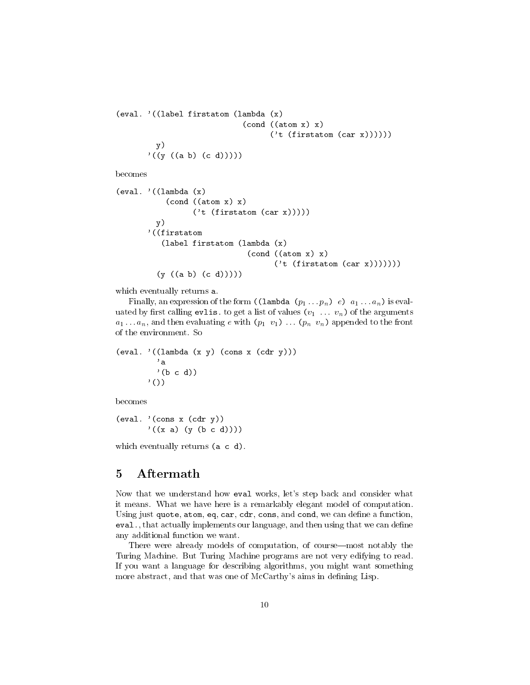```
-
eval -
-
label firstatom -
lambda -
x
                      -
cond -
-
atom x x
                           -
t -
firstatom -
car x
      y)
```
becomes

```
eval - and - and - and - and - and - and - and - and - and - and - and - and - and - and - and - and - and - and - and - and - and - and - and - and - and - and - and - and - and - and - and - and - and - and - and - and -
                 -
cond -
-
atom x x
                           -
t -
firstatom -
car x
             y)
           -
-
firstatom
                \============= \===== + \
                                              -
cond -
-
atom x x
                                                        -
t -
firstatom -
car x
              -
y -
-
a b -
c d
```
which eventually returns a

Finally an expression of the form --lambda -p ---pn e a ---an is eval values and calling events of get a list of values - (ii) and the arguments - (iii) and the arguments of the arguments of  $\alpha$ a - and the front evaluation of the front to the front to the front to the front to the front to the front to t of the environment. So

```
-
eval -
-
lambda -
x y -
cons x -
cdr y
                                   ^{\prime} a
                                     \sim - \sim - \sim - \sim - \sim - \sim - \sim - \sim - \sim - \sim - \sim - \sim - \sim - \sim - \sim - \sim - \sim - \sim - \sim - \sim - \sim - \sim - \sim - \sim - \sim - \sim - \sim - \sim - \sim - \sim - \sim - \sim
```
--<sup>y</sup> --<sup>a</sup> b -<sup>c</sup> d

becomes

-eval -cons <sup>x</sup> -cdr y --<sup>x</sup> a -<sup>y</sup> -<sup>b</sup> <sup>c</sup> d

-

which eventually returns  $(a \ c \ d)$ .

### 5 Aftermath

Now that we understand how eval works, let's step back and consider what it means. What we have here is a remarkably elegant model of computation. Using just quote, atom, eq, car, cdr, cons, and cond, we can define a function, eval, that actually implements our language, and then using that we can define any additional function we want

There were already models of computation, of course—most notably the Turing Machine. But Turing Machine programs are not very edifying to read. If you want a language for describing algorithms, you might want something more abstract, and that was one of McCarthy's aims in defining Lisp.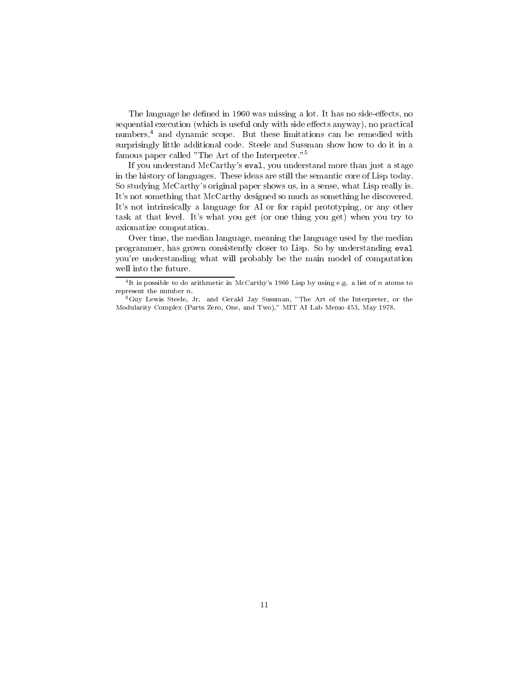the language of density and it is a lot in all  $\Delta$  in a lot in a lot is a lot in a lot in  $\Delta$ sequential execution (which is useful only with side effects anyway), no practical numbers,<sup>4</sup> and dynamic scope. But these limitations can be remedied with surprisingly little additional code Steele and Sussman show how to do it in a famous paper called The Art of the Interpreter

If you understand McCarthy's eval, you understand more than just a stage in the history of languages. These ideas are still the semantic core of Lisp today. So studying McCarthy's original paper shows us, in a sense, what Lisp really is. It's not something that McCarthy designed so much as something he discovered. It's not intrinsically a language for AI or for rapid prototyping, or any other task at that level. It's what you get (or one thing you get) when you try to axiomatize computation

Over time, the median language, meaning the language used by the median programmer, has grown consistently closer to Lisp. So by understanding eval you're understanding what will probably be the main model of computation well into the future

The is possible to do arithmetic in McCarthy's 1900 Lisp by using e.g. a list of  $n$  atoms to the state of  $n$ represent the number  $n$ .

Guy Lewis Steele, Jr. and Gerald Jay Sussman, The Art of the Interpreter, or the Modularity Complex Parts Zero- One- and Two- MIT AI Lab Memo - May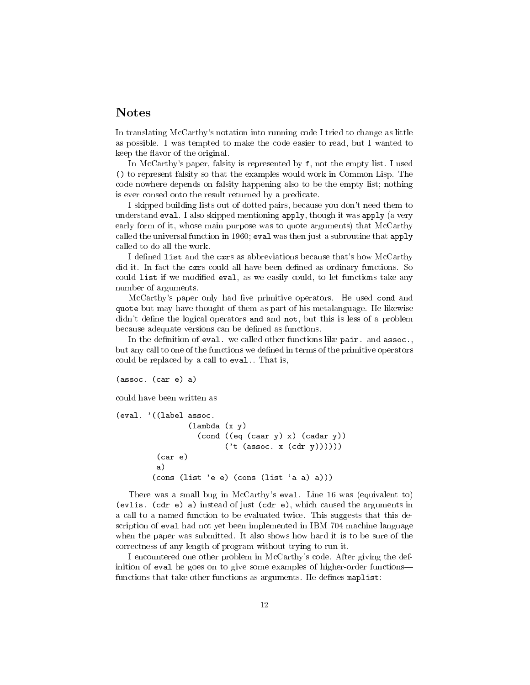In translating McCarthy's notation into running code I tried to change as little as possible. I was tempted to make the code easier to read, but I wanted to keep the flavor of the original.

In McCarthy's paper, falsity is represented by  $f$ , not the empty list. I used - to represent falsity so that the examples would work in Common Lisp The code nowhere depends on falsity happening also to be the empty list; nothing is ever consed onto the result returned by a predicate

I skipped building lists out of dotted pairs, because you don't need them to understand eval. I also skipped mentioning apply, though it was apply (a very early form of it, whose main purpose was to quote arguments) that  $McCarthy$ called the universal function in  $\mathbf{d}$  was then just a subroutine that apply a subroutine that apply a subroutine that apply a subroutine that apply a subroutine that apply a subroutine that apply a subroutine that appl called to do all the work

I defined list and the cxrs as abbreviations because that's how McCarthy did it. In fact the cxrs could all have been defined as ordinary functions. So could list if we modified eval, as we easily could, to let functions take any number of arguments

McCarthy's paper only had five primitive operators. He used cond and quote but may have thought of them as part of his metalanguage He likewise didn't define the logical operators and and not, but this is less of a problem because adequate versions can be defined as functions.

In the definition of eval. we called other functions like  $pair.$  and assoc., but any call to one of the functions we defined in terms of the primitive operators could be replaced by a call to  $eval$ . That is,

-assoc -car e a

could have been written as

```
-
eval -
-
label assoc
                                                               \lambda - \lambda - \lambda - \lambda - \lambda - \lambda - \lambda - \lambda - \lambda - \lambda - \lambda - \lambda - \lambda - \lambda - \lambda - \lambda - \lambda - \lambda - \lambda - \lambda - \lambda - \lambda - \lambda - \lambda - \lambda - \lambda - \lambda - \lambda - \lambda - \lambda - \lambda - \lambda-
cond -
-
eq -
caar y x -
cadar y
                                                                                               -
t -
assoc x -
cdr y
                                   \sim expressions of \sim expressions of \sima)
                                   <u>a serie de la contrada de la contrada de la contrada de la contrada de la contrada de la contrada de la contrad</u>
                               \sim constant a a constant and constant a constant a constant and constant a a a given a constant and constant a a a given a constant and constant a constant a constant and constant a constant a constant and constant a co
```
There was a small bug in McCarthys eval Line - was equivalent to -evlis -cdr e a instead of just -cdr e which caused the arguments in a call to a named function to be evaluated twice This suggests that this de scription of eval had not yet been implemented in IBM 704 machine language when the paper was submitted. It also shows how hard it is to be sure of the correctness of any length of program without trying to run it

I encountered one other problem in McCarthy's code. After giving the definition of eval he goes on to give some examples of higher-order functionsfunctions that take other functions as arguments. He defines  $\text{maplist}:$